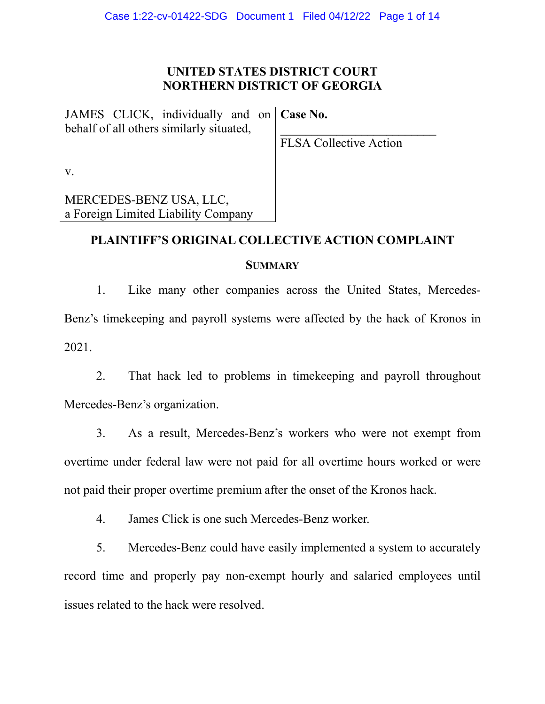## **UNITED STATES DISTRICT COURT NORTHERN DISTRICT OF GEORGIA**

JAMES CLICK, individually and on behalf of all others similarly situated, **Case No.** 

**\_\_\_\_\_\_\_\_\_\_\_\_\_\_\_\_\_\_\_\_\_\_\_\_\_**

v.

a Foreign Limited Liability Company MERCEDES-BENZ USA, LLC,

FLSA Collective Action

## **PLAINTIFF'S ORIGINAL COLLECTIVE ACTION COMPLAINT**

## **SUMMARY**

1. Like many other companies across the United States, Mercedes-Benz's timekeeping and payroll systems were affected by the hack of Kronos in 2021.

2. That hack led to problems in timekeeping and payroll throughout Mercedes-Benz's organization.

3. As a result, Mercedes-Benz's workers who were not exempt from overtime under federal law were not paid for all overtime hours worked or were not paid their proper overtime premium after the onset of the Kronos hack.

4. James Click is one such Mercedes-Benz worker.

5. Mercedes-Benz could have easily implemented a system to accurately record time and properly pay non-exempt hourly and salaried employees until issues related to the hack were resolved.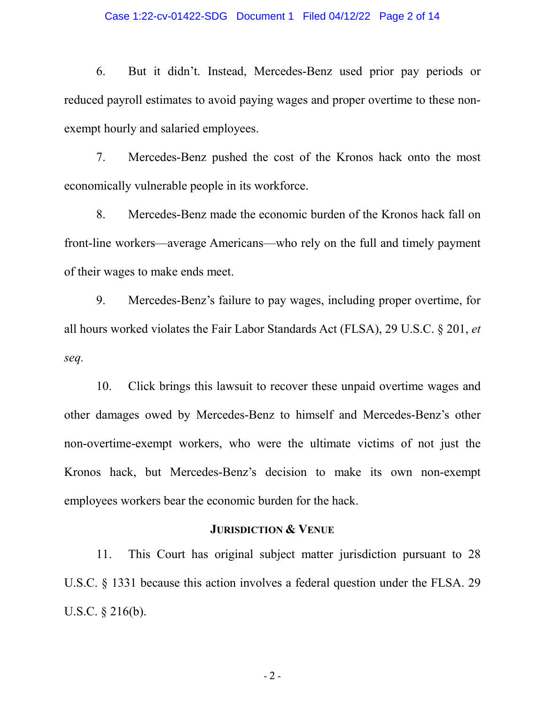#### Case 1:22-cv-01422-SDG Document 1 Filed 04/12/22 Page 2 of 14

6. But it didn't. Instead, Mercedes-Benz used prior pay periods or reduced payroll estimates to avoid paying wages and proper overtime to these nonexempt hourly and salaried employees.

7. Mercedes-Benz pushed the cost of the Kronos hack onto the most economically vulnerable people in its workforce.

8. Mercedes-Benz made the economic burden of the Kronos hack fall on front-line workers—average Americans—who rely on the full and timely payment of their wages to make ends meet.

9. Mercedes-Benz's failure to pay wages, including proper overtime, for all hours worked violates the Fair Labor Standards Act (FLSA), 29 U.S.C. § 201, *et seq.*

10. Click brings this lawsuit to recover these unpaid overtime wages and other damages owed by Mercedes-Benz to himself and Mercedes-Benz's other non-overtime-exempt workers, who were the ultimate victims of not just the Kronos hack, but Mercedes-Benz's decision to make its own non-exempt employees workers bear the economic burden for the hack.

## **JURISDICTION & VENUE**

11. This Court has original subject matter jurisdiction pursuant to 28 U.S.C. § 1331 because this action involves a federal question under the FLSA. 29 U.S.C. § 216(b).

 $-2-$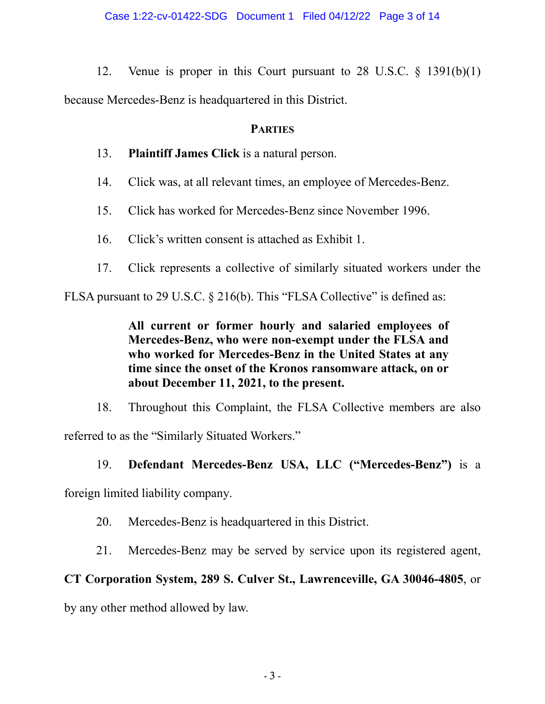12. Venue is proper in this Court pursuant to 28 U.S.C. § 1391(b)(1) because Mercedes-Benz is headquartered in this District.

# **PARTIES**

- 13. **Plaintiff James Click** is a natural person.
- 14. Click was, at all relevant times, an employee of Mercedes-Benz.
- 15. Click has worked for Mercedes-Benz since November 1996.
- 16. Click's written consent is attached as Exhibit 1.
- 17. Click represents a collective of similarly situated workers under the

FLSA pursuant to 29 U.S.C. § 216(b). This "FLSA Collective" is defined as:

**All current or former hourly and salaried employees of Mercedes-Benz, who were non-exempt under the FLSA and who worked for Mercedes-Benz in the United States at any time since the onset of the Kronos ransomware attack, on or about December 11, 2021, to the present.**

18. Throughout this Complaint, the FLSA Collective members are also referred to as the "Similarly Situated Workers."

# 19. **Defendant Mercedes-Benz USA, LLC ("Mercedes-Benz")** is a

foreign limited liability company.

- 20. Mercedes-Benz is headquartered in this District.
- 21. Mercedes-Benz may be served by service upon its registered agent,

# **CT Corporation System, 289 S. Culver St., Lawrenceville, GA 30046-4805**, or

by any other method allowed by law.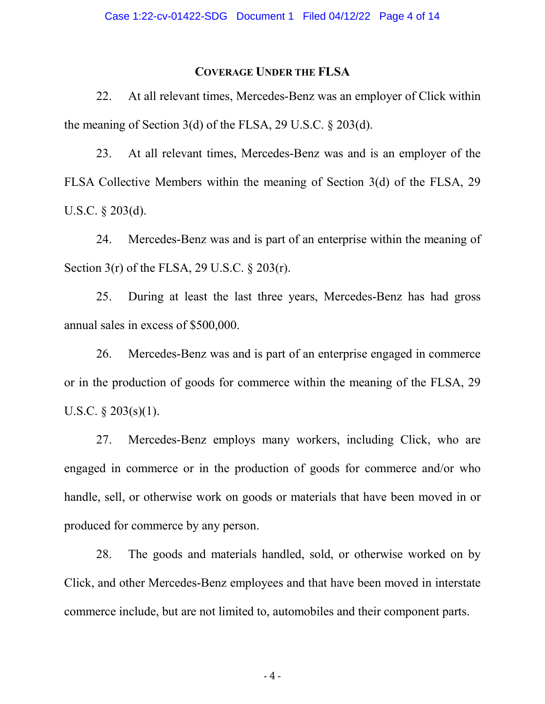#### **COVERAGE UNDER THE FLSA**

22. At all relevant times, Mercedes-Benz was an employer of Click within the meaning of Section 3(d) of the FLSA, 29 U.S.C. § 203(d).

23. At all relevant times, Mercedes-Benz was and is an employer of the FLSA Collective Members within the meaning of Section 3(d) of the FLSA, 29 U.S.C. § 203(d).

24. Mercedes-Benz was and is part of an enterprise within the meaning of Section 3(r) of the FLSA, 29 U.S.C. § 203(r).

25. During at least the last three years, Mercedes-Benz has had gross annual sales in excess of \$500,000.

26. Mercedes-Benz was and is part of an enterprise engaged in commerce or in the production of goods for commerce within the meaning of the FLSA, 29 U.S.C. § 203(s)(1).

27. Mercedes-Benz employs many workers, including Click, who are engaged in commerce or in the production of goods for commerce and/or who handle, sell, or otherwise work on goods or materials that have been moved in or produced for commerce by any person.

28. The goods and materials handled, sold, or otherwise worked on by Click, and other Mercedes-Benz employees and that have been moved in interstate commerce include, but are not limited to, automobiles and their component parts.

- 4 -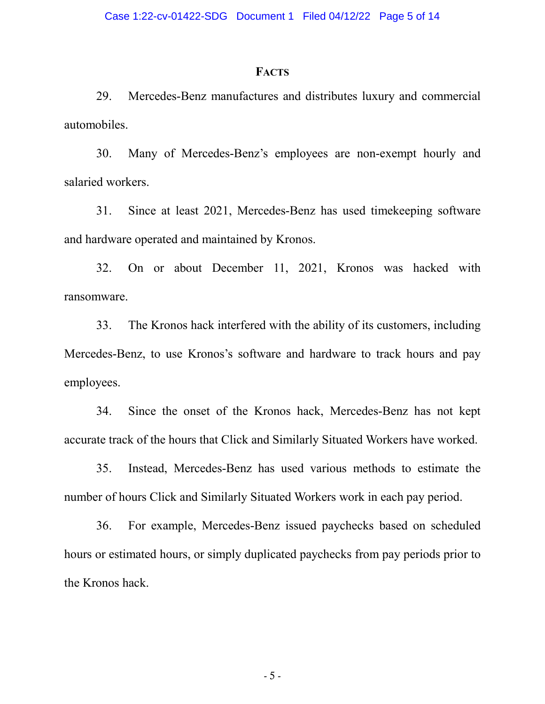#### **FACTS**

29. Mercedes-Benz manufactures and distributes luxury and commercial automobiles.

30. Many of Mercedes-Benz's employees are non-exempt hourly and salaried workers.

31. Since at least 2021, Mercedes-Benz has used timekeeping software and hardware operated and maintained by Kronos.

32. On or about December 11, 2021, Kronos was hacked with ransomware.

33. The Kronos hack interfered with the ability of its customers, including Mercedes-Benz, to use Kronos's software and hardware to track hours and pay employees.

34. Since the onset of the Kronos hack, Mercedes-Benz has not kept accurate track of the hours that Click and Similarly Situated Workers have worked.

35. Instead, Mercedes-Benz has used various methods to estimate the number of hours Click and Similarly Situated Workers work in each pay period.

36. For example, Mercedes-Benz issued paychecks based on scheduled hours or estimated hours, or simply duplicated paychecks from pay periods prior to the Kronos hack.

- 5 -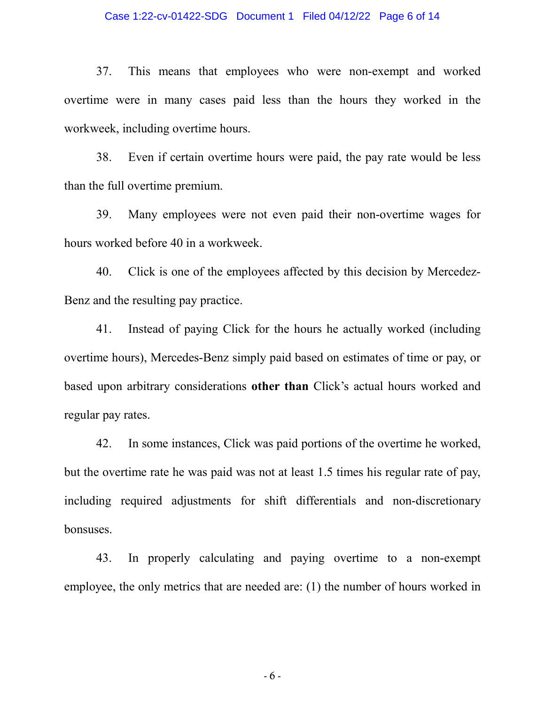#### Case 1:22-cv-01422-SDG Document 1 Filed 04/12/22 Page 6 of 14

37. This means that employees who were non-exempt and worked overtime were in many cases paid less than the hours they worked in the workweek, including overtime hours.

38. Even if certain overtime hours were paid, the pay rate would be less than the full overtime premium.

39. Many employees were not even paid their non-overtime wages for hours worked before 40 in a workweek.

40. Click is one of the employees affected by this decision by Mercedez-Benz and the resulting pay practice.

41. Instead of paying Click for the hours he actually worked (including overtime hours), Mercedes-Benz simply paid based on estimates of time or pay, or based upon arbitrary considerations **other than** Click's actual hours worked and regular pay rates.

42. In some instances, Click was paid portions of the overtime he worked, but the overtime rate he was paid was not at least 1.5 times his regular rate of pay, including required adjustments for shift differentials and non-discretionary bonsuses.

43. In properly calculating and paying overtime to a non-exempt employee, the only metrics that are needed are: (1) the number of hours worked in

- 6 -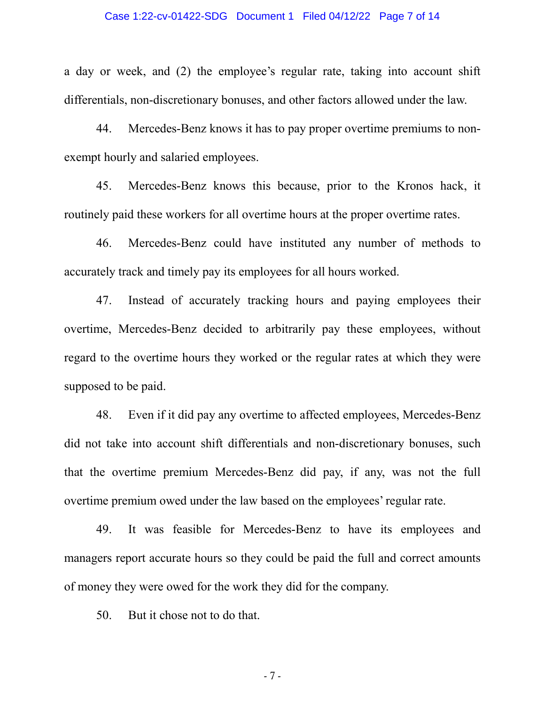#### Case 1:22-cv-01422-SDG Document 1 Filed 04/12/22 Page 7 of 14

a day or week, and (2) the employee's regular rate, taking into account shift differentials, non-discretionary bonuses, and other factors allowed under the law.

44. Mercedes-Benz knows it has to pay proper overtime premiums to nonexempt hourly and salaried employees.

45. Mercedes-Benz knows this because, prior to the Kronos hack, it routinely paid these workers for all overtime hours at the proper overtime rates.

46. Mercedes-Benz could have instituted any number of methods to accurately track and timely pay its employees for all hours worked.

47. Instead of accurately tracking hours and paying employees their overtime, Mercedes-Benz decided to arbitrarily pay these employees, without regard to the overtime hours they worked or the regular rates at which they were supposed to be paid.

48. Even if it did pay any overtime to affected employees, Mercedes-Benz did not take into account shift differentials and non-discretionary bonuses, such that the overtime premium Mercedes-Benz did pay, if any, was not the full overtime premium owed under the law based on the employees' regular rate.

49. It was feasible for Mercedes-Benz to have its employees and managers report accurate hours so they could be paid the full and correct amounts of money they were owed for the work they did for the company.

50. But it chose not to do that.

- 7 -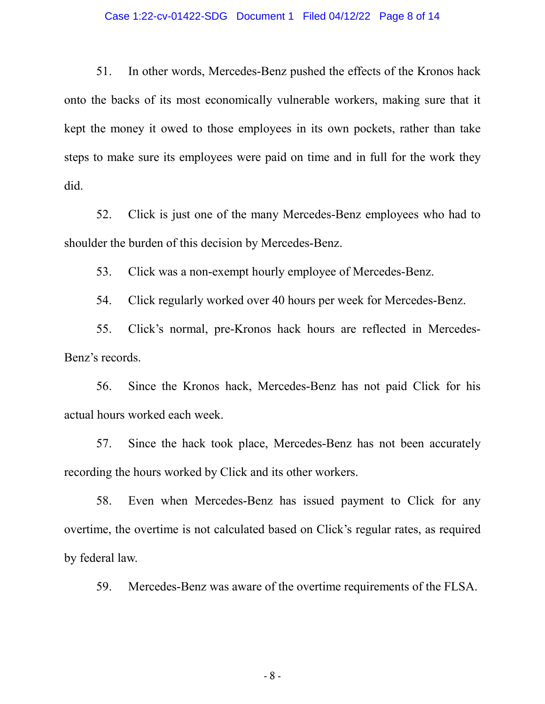#### Case 1:22-cv-01422-SDG Document 1 Filed 04/12/22 Page 8 of 14

51. In other words, Mercedes-Benz pushed the effects of the Kronos hack onto the backs of its most economically vulnerable workers, making sure that it kept the money it owed to those employees in its own pockets, rather than take steps to make sure its employees were paid on time and in full for the work they did.

52. Click is just one of the many Mercedes-Benz employees who had to shoulder the burden of this decision by Mercedes-Benz.

53. Click was a non-exempt hourly employee of Mercedes-Benz.

54. Click regularly worked over 40 hours per week for Mercedes-Benz.

55. Click's normal, pre-Kronos hack hours are reflected in Mercedes-Benz's records.

56. Since the Kronos hack, Mercedes-Benz has not paid Click for his actual hours worked each week.

57. Since the hack took place, Mercedes-Benz has not been accurately recording the hours worked by Click and its other workers.

58. Even when Mercedes-Benz has issued payment to Click for any overtime, the overtime is not calculated based on Click's regular rates, as required by federal law.

59. Mercedes-Benz was aware of the overtime requirements of the FLSA.

- 8 -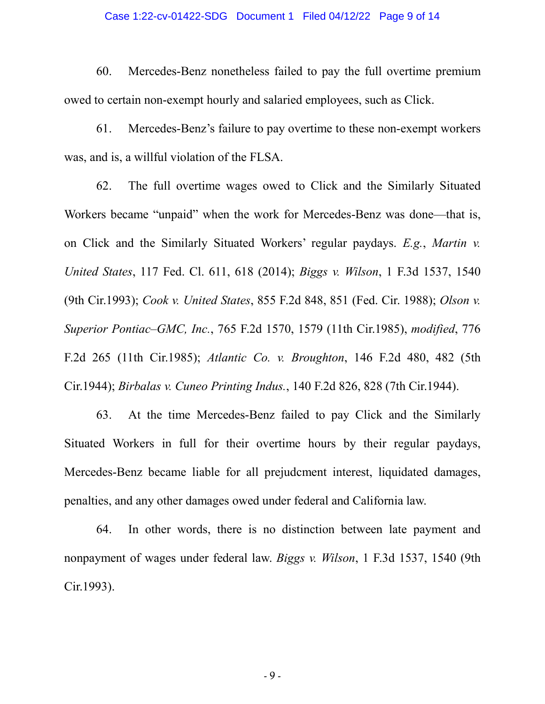#### Case 1:22-cv-01422-SDG Document 1 Filed 04/12/22 Page 9 of 14

60. Mercedes-Benz nonetheless failed to pay the full overtime premium owed to certain non-exempt hourly and salaried employees, such as Click.

61. Mercedes-Benz's failure to pay overtime to these non-exempt workers was, and is, a willful violation of the FLSA.

62. The full overtime wages owed to Click and the Similarly Situated Workers became "unpaid" when the work for Mercedes-Benz was done—that is, on Click and the Similarly Situated Workers' regular paydays. *E.g.*, *Martin v. United States*, 117 Fed. Cl. 611, 618 (2014); *Biggs v. Wilson*, 1 F.3d 1537, 1540 (9th Cir.1993); *Cook v. United States*, 855 F.2d 848, 851 (Fed. Cir. 1988); *Olson v. Superior Pontiac–GMC, Inc.*, 765 F.2d 1570, 1579 (11th Cir.1985), *modified*, 776 F.2d 265 (11th Cir.1985); *Atlantic Co. v. Broughton*, 146 F.2d 480, 482 (5th Cir.1944); *Birbalas v. Cuneo Printing Indus.*, 140 F.2d 826, 828 (7th Cir.1944).

63. At the time Mercedes-Benz failed to pay Click and the Similarly Situated Workers in full for their overtime hours by their regular paydays, Mercedes-Benz became liable for all prejudcment interest, liquidated damages, penalties, and any other damages owed under federal and California law.

64. In other words, there is no distinction between late payment and nonpayment of wages under federal law. *Biggs v. Wilson*, 1 F.3d 1537, 1540 (9th Cir.1993).

- 9 -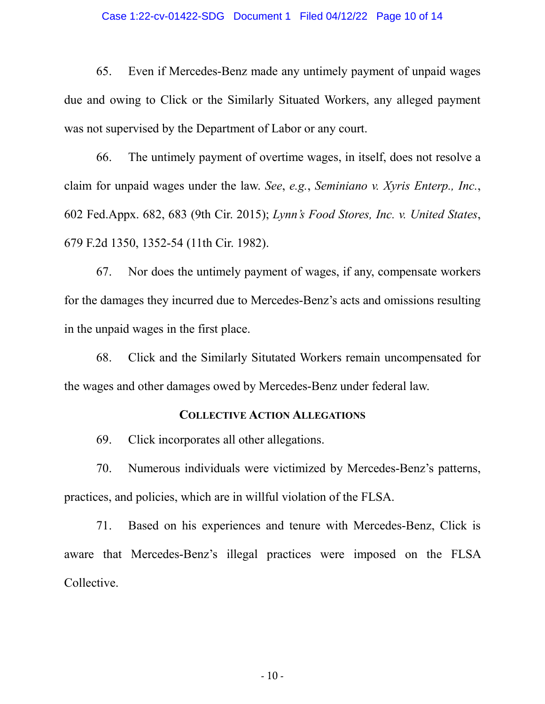#### Case 1:22-cv-01422-SDG Document 1 Filed 04/12/22 Page 10 of 14

65. Even if Mercedes-Benz made any untimely payment of unpaid wages due and owing to Click or the Similarly Situated Workers, any alleged payment was not supervised by the Department of Labor or any court.

66. The untimely payment of overtime wages, in itself, does not resolve a claim for unpaid wages under the law. *See*, *e.g.*, *Seminiano v. Xyris Enterp., Inc.*, 602 Fed.Appx. 682, 683 (9th Cir. 2015); *Lynn's Food Stores, Inc. v. United States*, 679 F.2d 1350, 1352-54 (11th Cir. 1982).

67. Nor does the untimely payment of wages, if any, compensate workers for the damages they incurred due to Mercedes-Benz's acts and omissions resulting in the unpaid wages in the first place.

68. Click and the Similarly Situtated Workers remain uncompensated for the wages and other damages owed by Mercedes-Benz under federal law.

### **COLLECTIVE ACTION ALLEGATIONS**

69. Click incorporates all other allegations.

70. Numerous individuals were victimized by Mercedes-Benz's patterns, practices, and policies, which are in willful violation of the FLSA.

71. Based on his experiences and tenure with Mercedes-Benz, Click is aware that Mercedes-Benz's illegal practices were imposed on the FLSA Collective.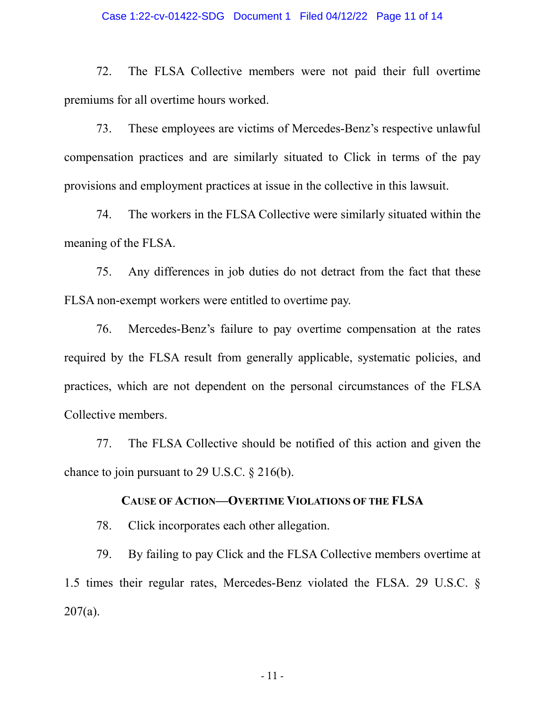#### Case 1:22-cv-01422-SDG Document 1 Filed 04/12/22 Page 11 of 14

72. The FLSA Collective members were not paid their full overtime premiums for all overtime hours worked.

73. These employees are victims of Mercedes-Benz's respective unlawful compensation practices and are similarly situated to Click in terms of the pay provisions and employment practices at issue in the collective in this lawsuit.

74. The workers in the FLSA Collective were similarly situated within the meaning of the FLSA.

75. Any differences in job duties do not detract from the fact that these FLSA non-exempt workers were entitled to overtime pay.

76. Mercedes-Benz's failure to pay overtime compensation at the rates required by the FLSA result from generally applicable, systematic policies, and practices, which are not dependent on the personal circumstances of the FLSA Collective members.

77. The FLSA Collective should be notified of this action and given the chance to join pursuant to 29 U.S.C. § 216(b).

## **CAUSE OF ACTION—OVERTIME VIOLATIONS OF THE FLSA**

78. Click incorporates each other allegation.

79. By failing to pay Click and the FLSA Collective members overtime at 1.5 times their regular rates, Mercedes-Benz violated the FLSA. 29 U.S.C. §  $207(a)$ .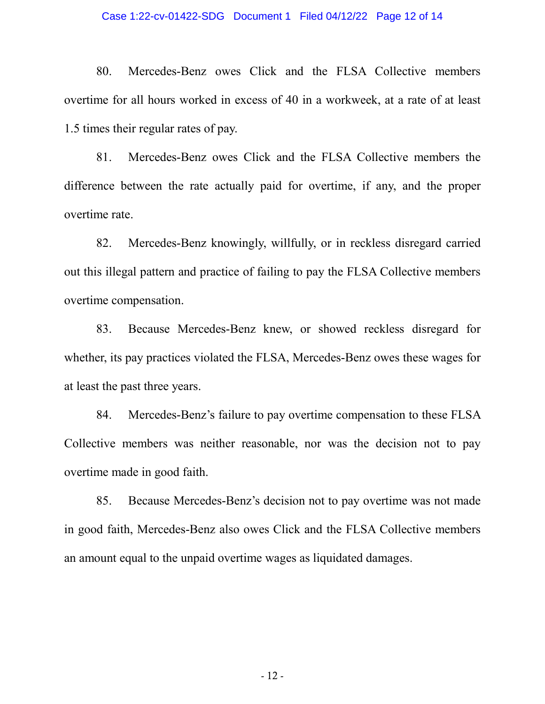#### Case 1:22-cv-01422-SDG Document 1 Filed 04/12/22 Page 12 of 14

80. Mercedes-Benz owes Click and the FLSA Collective members overtime for all hours worked in excess of 40 in a workweek, at a rate of at least 1.5 times their regular rates of pay.

81. Mercedes-Benz owes Click and the FLSA Collective members the difference between the rate actually paid for overtime, if any, and the proper overtime rate.

82. Mercedes-Benz knowingly, willfully, or in reckless disregard carried out this illegal pattern and practice of failing to pay the FLSA Collective members overtime compensation.

83. Because Mercedes-Benz knew, or showed reckless disregard for whether, its pay practices violated the FLSA, Mercedes-Benz owes these wages for at least the past three years.

84. Mercedes-Benz's failure to pay overtime compensation to these FLSA Collective members was neither reasonable, nor was the decision not to pay overtime made in good faith.

85. Because Mercedes-Benz's decision not to pay overtime was not made in good faith, Mercedes-Benz also owes Click and the FLSA Collective members an amount equal to the unpaid overtime wages as liquidated damages.

- 12 -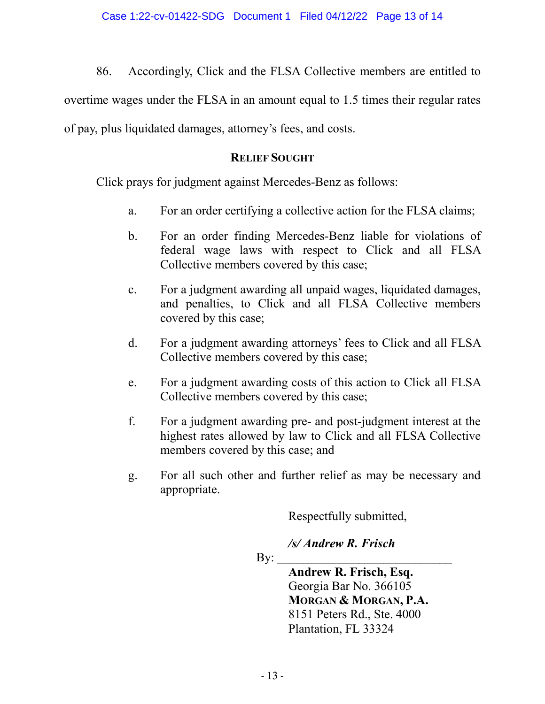86. Accordingly, Click and the FLSA Collective members are entitled to

overtime wages under the FLSA in an amount equal to 1.5 times their regular rates

of pay, plus liquidated damages, attorney's fees, and costs.

## **RELIEF SOUGHT**

Click prays for judgment against Mercedes-Benz as follows:

- a. For an order certifying a collective action for the FLSA claims;
- b. For an order finding Mercedes-Benz liable for violations of federal wage laws with respect to Click and all FLSA Collective members covered by this case;
- c. For a judgment awarding all unpaid wages, liquidated damages, and penalties, to Click and all FLSA Collective members covered by this case;
- d. For a judgment awarding attorneys' fees to Click and all FLSA Collective members covered by this case;
- e. For a judgment awarding costs of this action to Click all FLSA Collective members covered by this case;
- f. For a judgment awarding pre- and post-judgment interest at the highest rates allowed by law to Click and all FLSA Collective members covered by this case; and
- g. For all such other and further relief as may be necessary and appropriate.

Respectfully submitted,

*/s/ Andrew R. Frisch*

 $\mathbf{By:}$ 

**Andrew R. Frisch, Esq.** Georgia Bar No. 366105 **MORGAN & MORGAN, P.A.** 8151 Peters Rd., Ste. 4000 Plantation, FL 33324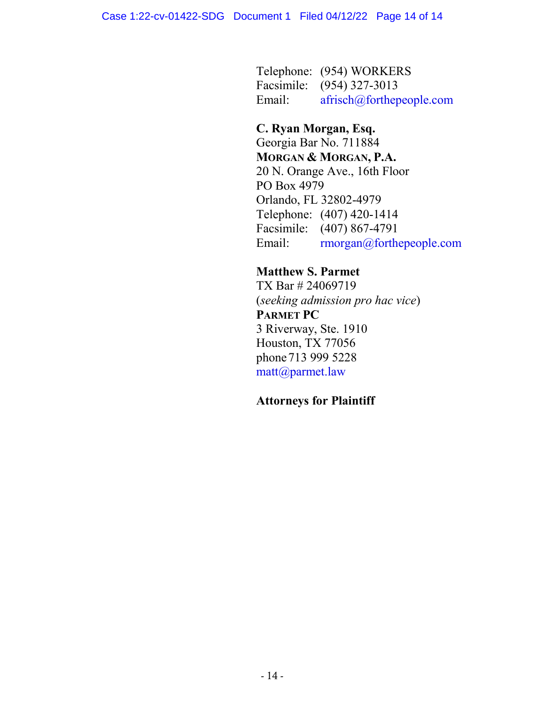Telephone: (954) WORKERS Facsimile: (954) 327-3013 Email: afrisch@forthepeople.com

# **C. Ryan Morgan, Esq.**

Georgia Bar No. 711884 **MORGAN & MORGAN, P.A.** 20 N. Orange Ave., 16th Floor PO Box 4979 Orlando, FL 32802-4979 Telephone: (407) 420-1414 Facsimile: (407) 867-4791 Email: rmorgan@forthepeople.com

# **Matthew S. Parmet**

TX Bar # 24069719 (*seeking admission pro hac vice*) **PARMET PC** 3 Riverway, Ste. 1910 Houston, TX 77056 phone713 999 5228 matt@parmet.law

## **Attorneys for Plaintiff**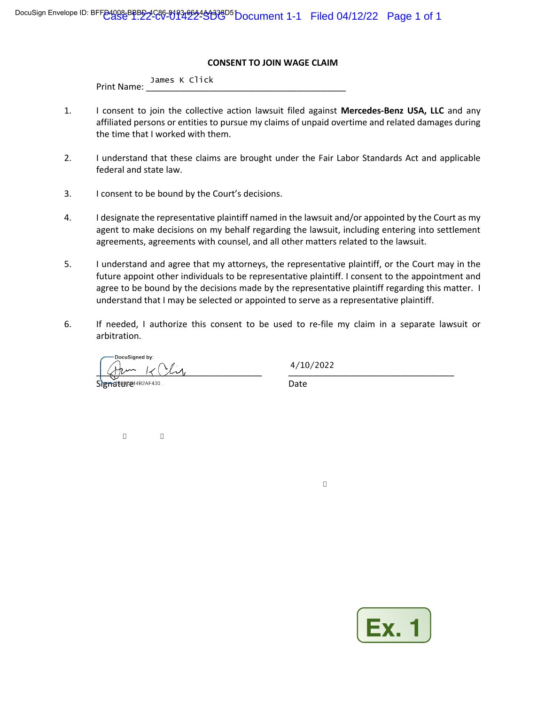#### **CONSENT TO JOIN WAGE CLAIM**

|                    | James K Click |  |  |
|--------------------|---------------|--|--|
| <b>Print Name:</b> |               |  |  |

- 1. I consent to join the collective action lawsuit filed against **Mercedes-Benz USA, LLC** and any affiliated persons or entities to pursue my claims of unpaid overtime and related damages during the time that I worked with them.
- 2. I understand that these claims are brought under the Fair Labor Standards Act and applicable federal and state law.
- 3. I consent to be bound by the Court's decisions.
- 4. I designate the representative plaintiff named in the lawsuit and/or appointed by the Court as my agent to make decisions on my behalf regarding the lawsuit, including entering into settlement agreements, agreements with counsel, and all other matters related to the lawsuit.
- 5. I understand and agree that my attorneys, the representative plaintiff, or the Court may in the future appoint other individuals to be representative plaintiff. I consent to the appointment and agree to be bound by the decisions made by the representative plaintiff regarding this matter. I understand that I may be selected or appointed to serve as a representative plaintiff.
- 6. If needed, I authorize this consent to be used to re-file my claim in a separate lawsuit or arbitration.

DocuSianed by:  $\frac{1}{2}$ pagear and Date

4/10/2022

 $\Box$ 



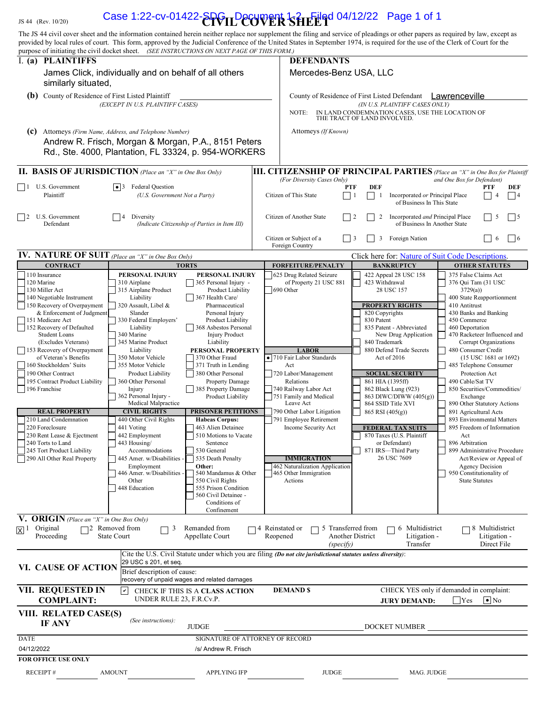|                                                                                                                                                                                                                                     | JS 44 (Rev. 10/20)                                                                                                                                                                                                                                                                                                                                                                                                                                                                                                                                                       |                                                                                                                                                                                                                                                                                                                                                                                                                                                                                                                                                                       |                                                                                                                                                                                                                                                                                                                                                                                                                                                                                                                                                                                                                                                                   | Case 1:22-cv-01422- $E$ PGILDeCVVER SHELOO 04/12/22 Page 1 of 1                                                                                                                                                                                                                                                                                                                                       |                                                                                                                                                                                                                                                                                                                                                                                                                                                                                           |                                                                                                                                                                                                                                                                                                                                                                                                                                                                                                                                                                                                                                                                                   |  |  |
|-------------------------------------------------------------------------------------------------------------------------------------------------------------------------------------------------------------------------------------|--------------------------------------------------------------------------------------------------------------------------------------------------------------------------------------------------------------------------------------------------------------------------------------------------------------------------------------------------------------------------------------------------------------------------------------------------------------------------------------------------------------------------------------------------------------------------|-----------------------------------------------------------------------------------------------------------------------------------------------------------------------------------------------------------------------------------------------------------------------------------------------------------------------------------------------------------------------------------------------------------------------------------------------------------------------------------------------------------------------------------------------------------------------|-------------------------------------------------------------------------------------------------------------------------------------------------------------------------------------------------------------------------------------------------------------------------------------------------------------------------------------------------------------------------------------------------------------------------------------------------------------------------------------------------------------------------------------------------------------------------------------------------------------------------------------------------------------------|-------------------------------------------------------------------------------------------------------------------------------------------------------------------------------------------------------------------------------------------------------------------------------------------------------------------------------------------------------------------------------------------------------|-------------------------------------------------------------------------------------------------------------------------------------------------------------------------------------------------------------------------------------------------------------------------------------------------------------------------------------------------------------------------------------------------------------------------------------------------------------------------------------------|-----------------------------------------------------------------------------------------------------------------------------------------------------------------------------------------------------------------------------------------------------------------------------------------------------------------------------------------------------------------------------------------------------------------------------------------------------------------------------------------------------------------------------------------------------------------------------------------------------------------------------------------------------------------------------------|--|--|
|                                                                                                                                                                                                                                     |                                                                                                                                                                                                                                                                                                                                                                                                                                                                                                                                                                          | purpose of initiating the civil docket sheet. (SEE INSTRUCTIONS ON NEXT PAGE OF THIS FORM.)                                                                                                                                                                                                                                                                                                                                                                                                                                                                           |                                                                                                                                                                                                                                                                                                                                                                                                                                                                                                                                                                                                                                                                   | The JS 44 civil cover sheet and the information contained herein neither replace nor supplement the filing and service of pleadings or other papers as required by law, except as<br>provided by local rules of court. This form, approved by the Judicial Conference of the United States in September 1974, is required for the use of the Clerk of Court for the                                   |                                                                                                                                                                                                                                                                                                                                                                                                                                                                                           |                                                                                                                                                                                                                                                                                                                                                                                                                                                                                                                                                                                                                                                                                   |  |  |
|                                                                                                                                                                                                                                     | I. (a) PLAINTIFFS                                                                                                                                                                                                                                                                                                                                                                                                                                                                                                                                                        |                                                                                                                                                                                                                                                                                                                                                                                                                                                                                                                                                                       |                                                                                                                                                                                                                                                                                                                                                                                                                                                                                                                                                                                                                                                                   | <b>DEFENDANTS</b>                                                                                                                                                                                                                                                                                                                                                                                     |                                                                                                                                                                                                                                                                                                                                                                                                                                                                                           |                                                                                                                                                                                                                                                                                                                                                                                                                                                                                                                                                                                                                                                                                   |  |  |
|                                                                                                                                                                                                                                     | similarly situated,                                                                                                                                                                                                                                                                                                                                                                                                                                                                                                                                                      | James Click, individually and on behalf of all others                                                                                                                                                                                                                                                                                                                                                                                                                                                                                                                 |                                                                                                                                                                                                                                                                                                                                                                                                                                                                                                                                                                                                                                                                   | Mercedes-Benz USA, LLC                                                                                                                                                                                                                                                                                                                                                                                |                                                                                                                                                                                                                                                                                                                                                                                                                                                                                           |                                                                                                                                                                                                                                                                                                                                                                                                                                                                                                                                                                                                                                                                                   |  |  |
| <b>(b)</b> County of Residence of First Listed Plaintiff<br>(EXCEPT IN U.S. PLAINTIFF CASES)                                                                                                                                        |                                                                                                                                                                                                                                                                                                                                                                                                                                                                                                                                                                          |                                                                                                                                                                                                                                                                                                                                                                                                                                                                                                                                                                       |                                                                                                                                                                                                                                                                                                                                                                                                                                                                                                                                                                                                                                                                   | County of Residence of First Listed Defendant<br>Lawrenceville<br>(IN U.S. PLAINTIFF CASES ONLY)<br>IN LAND CONDEMNATION CASES, USE THE LOCATION OF<br>NOTE:                                                                                                                                                                                                                                          |                                                                                                                                                                                                                                                                                                                                                                                                                                                                                           |                                                                                                                                                                                                                                                                                                                                                                                                                                                                                                                                                                                                                                                                                   |  |  |
| (c) Attorneys (Firm Name, Address, and Telephone Number)<br>Andrew R. Frisch, Morgan & Morgan, P.A., 8151 Peters<br>Rd., Ste. 4000, Plantation, FL 33324, p. 954-WORKERS                                                            |                                                                                                                                                                                                                                                                                                                                                                                                                                                                                                                                                                          |                                                                                                                                                                                                                                                                                                                                                                                                                                                                                                                                                                       |                                                                                                                                                                                                                                                                                                                                                                                                                                                                                                                                                                                                                                                                   | THE TRACT OF LAND INVOLVED.<br>Attorneys (If Known)                                                                                                                                                                                                                                                                                                                                                   |                                                                                                                                                                                                                                                                                                                                                                                                                                                                                           |                                                                                                                                                                                                                                                                                                                                                                                                                                                                                                                                                                                                                                                                                   |  |  |
|                                                                                                                                                                                                                                     |                                                                                                                                                                                                                                                                                                                                                                                                                                                                                                                                                                          | <b>II. BASIS OF JURISDICTION</b> (Place an "X" in One Box Only)                                                                                                                                                                                                                                                                                                                                                                                                                                                                                                       |                                                                                                                                                                                                                                                                                                                                                                                                                                                                                                                                                                                                                                                                   | <b>III. CITIZENSHIP OF PRINCIPAL PARTIES</b> (Place an "X" in One Box for Plaintiff                                                                                                                                                                                                                                                                                                                   |                                                                                                                                                                                                                                                                                                                                                                                                                                                                                           |                                                                                                                                                                                                                                                                                                                                                                                                                                                                                                                                                                                                                                                                                   |  |  |
|                                                                                                                                                                                                                                     | $\Box$ 1 U.S. Government<br>Plaintiff                                                                                                                                                                                                                                                                                                                                                                                                                                                                                                                                    | $\vert \bullet \vert$ Federal Question<br>(U.S. Government Not a Party)                                                                                                                                                                                                                                                                                                                                                                                                                                                                                               |                                                                                                                                                                                                                                                                                                                                                                                                                                                                                                                                                                                                                                                                   | (For Diversity Cases Only)<br><b>PTF</b><br>Citizen of This State<br>$\vert$ 1                                                                                                                                                                                                                                                                                                                        | <b>DEF</b><br>Incorporated or Principal Place<br>-1<br>of Business In This State                                                                                                                                                                                                                                                                                                                                                                                                          | and One Box for Defendant)<br>DEF<br>PTF<br> 4                                                                                                                                                                                                                                                                                                                                                                                                                                                                                                                                                                                                                                    |  |  |
|                                                                                                                                                                                                                                     | 2 U.S. Government<br>Defendant                                                                                                                                                                                                                                                                                                                                                                                                                                                                                                                                           | Diversity                                                                                                                                                                                                                                                                                                                                                                                                                                                                                                                                                             | (Indicate Citizenship of Parties in Item III)                                                                                                                                                                                                                                                                                                                                                                                                                                                                                                                                                                                                                     | Citizen of Another State                                                                                                                                                                                                                                                                                                                                                                              | Incorporated and Principal Place<br>2<br>of Business In Another State                                                                                                                                                                                                                                                                                                                                                                                                                     | 5<br>$\frac{15}{2}$                                                                                                                                                                                                                                                                                                                                                                                                                                                                                                                                                                                                                                                               |  |  |
|                                                                                                                                                                                                                                     |                                                                                                                                                                                                                                                                                                                                                                                                                                                                                                                                                                          |                                                                                                                                                                                                                                                                                                                                                                                                                                                                                                                                                                       |                                                                                                                                                                                                                                                                                                                                                                                                                                                                                                                                                                                                                                                                   | Citizen or Subject of a<br>$\overline{3}$<br>Foreign Country                                                                                                                                                                                                                                                                                                                                          | Foreign Nation<br>3                                                                                                                                                                                                                                                                                                                                                                                                                                                                       | 6<br>$ $   6                                                                                                                                                                                                                                                                                                                                                                                                                                                                                                                                                                                                                                                                      |  |  |
|                                                                                                                                                                                                                                     | <b>CONTRACT</b>                                                                                                                                                                                                                                                                                                                                                                                                                                                                                                                                                          | <b>IV.</b> NATURE OF SUIT (Place an "X" in One Box Only)                                                                                                                                                                                                                                                                                                                                                                                                                                                                                                              | <b>TORTS</b>                                                                                                                                                                                                                                                                                                                                                                                                                                                                                                                                                                                                                                                      | <b>FORFEITURE/PENALTY</b>                                                                                                                                                                                                                                                                                                                                                                             | Click here for: Nature of Suit Code Descriptions.<br><b>BANKRUPTCY</b>                                                                                                                                                                                                                                                                                                                                                                                                                    | <b>OTHER STATUTES</b>                                                                                                                                                                                                                                                                                                                                                                                                                                                                                                                                                                                                                                                             |  |  |
| 120 Marine                                                                                                                                                                                                                          | 110 Insurance<br>130 Miller Act<br>140 Negotiable Instrument<br>150 Recovery of Overpayment<br>& Enforcement of Judgment<br>151 Medicare Act<br>152 Recovery of Defaulted<br><b>Student Loans</b><br>(Excludes Veterans)<br>153 Recovery of Overpayment<br>of Veteran's Benefits<br>160 Stockholders' Suits<br>190 Other Contract<br>195 Contract Product Liability<br>196 Franchise<br><b>REAL PROPERTY</b><br>210 Land Condemnation<br>220 Foreclosure<br>230 Rent Lease & Ejectment<br>240 Torts to Land<br>245 Tort Product Liability<br>290 All Other Real Property | PERSONAL INJURY<br>310 Airplane<br>315 Airplane Product<br>Liability<br>320 Assault, Libel &<br>Slander<br>330 Federal Employers'<br>Liability<br>340 Marine<br>345 Marine Product<br>Liability<br>350 Motor Vehicle<br>355 Motor Vehicle<br>Product Liability<br>360 Other Personal<br>Injury<br>362 Personal Injury -<br>Medical Malpractice<br><b>CIVIL RIGHTS</b><br>440 Other Civil Rights<br>441 Voting<br>442 Employment<br>443 Housing/<br>Accommodations<br>445 Amer. w/Disabilities -<br>Employment<br>446 Amer. w/Disabilities -<br>Other<br>448 Education | PERSONAL INJURY<br>365 Personal Injury -<br>Product Liability<br>367 Health Care/<br>Pharmaceutical<br>Personal Injury<br>Product Liability<br>368 Asbestos Personal<br><b>Injury Product</b><br>Liability<br>PERSONAL PROPERTY<br>370 Other Fraud<br>371 Truth in Lending<br>380 Other Personal<br><b>Property Damage</b><br>385 Property Damage<br>Product Liability<br><b>PRISONER PETITIONS</b><br><b>Habeas Corpus:</b><br>463 Alien Detainee<br>510 Motions to Vacate<br>Sentence<br>530 General<br>535 Death Penalty<br>Other:<br>540 Mandamus & Other<br>550 Civil Rights<br>555 Prison Condition<br>560 Civil Detainee -<br>Conditions of<br>Confinement | 625 Drug Related Seizure<br>of Property 21 USC 881<br>690 Other<br><b>LABOR</b><br>• 710 Fair Labor Standards<br>Act<br>720 Labor/Management<br>Relations<br>740 Railway Labor Act<br>751 Family and Medical<br>Leave Act<br>790 Other Labor Litigation<br>791 Employee Retirement<br>Income Security Act<br><b>IMMIGRATION</b><br>462 Naturalization Application<br>465 Other Immigration<br>Actions | 422 Appeal 28 USC 158<br>423 Withdrawal<br>28 USC 157<br><b>PROPERTY RIGHTS</b><br>820 Copyrights<br>830 Patent<br>835 Patent - Abbreviated<br>New Drug Application<br>840 Trademark<br>880 Defend Trade Secrets<br>Act of 2016<br><b>SOCIAL SECURITY</b><br>861 HIA (1395ff)<br>862 Black Lung (923)<br>863 DIWC/DIWW (405(g))<br>864 SSID Title XVI<br>865 RSI (405(g))<br><b>FEDERAL TAX SUITS</b><br>870 Taxes (U.S. Plaintiff<br>or Defendant)<br>871 IRS-Third Party<br>26 USC 7609 | 375 False Claims Act<br>376 Qui Tam (31 USC<br>3729(a)<br>400 State Reapportionment<br>410 Antitrust<br>430 Banks and Banking<br>450 Commerce<br>460 Deportation<br>470 Racketeer Influenced and<br>Corrupt Organizations<br>480 Consumer Credit<br>$(15$ USC $1681$ or $1692)$<br>485 Telephone Consumer<br>Protection Act<br>490 Cable/Sat TV<br>850 Securities/Commodities/<br>Exchange<br>890 Other Statutory Actions<br>891 Agricultural Acts<br>893 Environmental Matters<br>895 Freedom of Information<br>Act<br>896 Arbitration<br>899 Administrative Procedure<br>Act/Review or Appeal of<br><b>Agency Decision</b><br>950 Constitutionality of<br><b>State Statutes</b> |  |  |
| $\boxtimes^1$                                                                                                                                                                                                                       | V. ORIGIN (Place an "X" in One Box Only)<br>Original<br>Proceeding                                                                                                                                                                                                                                                                                                                                                                                                                                                                                                       | 72 Removed from<br>3<br>┓<br><b>State Court</b>                                                                                                                                                                                                                                                                                                                                                                                                                                                                                                                       | Remanded from<br>Appellate Court                                                                                                                                                                                                                                                                                                                                                                                                                                                                                                                                                                                                                                  | 4 Reinstated or<br>5 Transferred from<br>Reopened<br>(specify)                                                                                                                                                                                                                                                                                                                                        | 6 Multidistrict<br><b>Another District</b><br>Litigation -<br>Transfer                                                                                                                                                                                                                                                                                                                                                                                                                    | 8 Multidistrict<br>Litigation -<br>Direct File                                                                                                                                                                                                                                                                                                                                                                                                                                                                                                                                                                                                                                    |  |  |
|                                                                                                                                                                                                                                     | VI. CAUSE OF ACTION                                                                                                                                                                                                                                                                                                                                                                                                                                                                                                                                                      | 29 USC s 201, et seq.<br>Brief description of cause:                                                                                                                                                                                                                                                                                                                                                                                                                                                                                                                  |                                                                                                                                                                                                                                                                                                                                                                                                                                                                                                                                                                                                                                                                   | Cite the U.S. Civil Statute under which you are filing (Do not cite jurisdictional statutes unless diversity):                                                                                                                                                                                                                                                                                        |                                                                                                                                                                                                                                                                                                                                                                                                                                                                                           |                                                                                                                                                                                                                                                                                                                                                                                                                                                                                                                                                                                                                                                                                   |  |  |
|                                                                                                                                                                                                                                     |                                                                                                                                                                                                                                                                                                                                                                                                                                                                                                                                                                          |                                                                                                                                                                                                                                                                                                                                                                                                                                                                                                                                                                       | recovery of unpaid wages and related damages                                                                                                                                                                                                                                                                                                                                                                                                                                                                                                                                                                                                                      |                                                                                                                                                                                                                                                                                                                                                                                                       |                                                                                                                                                                                                                                                                                                                                                                                                                                                                                           |                                                                                                                                                                                                                                                                                                                                                                                                                                                                                                                                                                                                                                                                                   |  |  |
| VII. REQUESTED IN<br><b>DEMAND \$</b><br>CHECK YES only if demanded in complaint:<br>$\mathbf{v}$<br>CHECK IF THIS IS A CLASS ACTION<br>UNDER RULE 23, F.R.Cv.P.<br><b>COMPLAINT:</b><br>$\bullet$ No<br><b>JURY DEMAND:</b><br>Yes |                                                                                                                                                                                                                                                                                                                                                                                                                                                                                                                                                                          |                                                                                                                                                                                                                                                                                                                                                                                                                                                                                                                                                                       |                                                                                                                                                                                                                                                                                                                                                                                                                                                                                                                                                                                                                                                                   |                                                                                                                                                                                                                                                                                                                                                                                                       |                                                                                                                                                                                                                                                                                                                                                                                                                                                                                           |                                                                                                                                                                                                                                                                                                                                                                                                                                                                                                                                                                                                                                                                                   |  |  |
| VIII. RELATED CASE(S)<br>(See instructions):<br><b>IF ANY</b><br><b>JUDGE</b><br>DOCKET NUMBER                                                                                                                                      |                                                                                                                                                                                                                                                                                                                                                                                                                                                                                                                                                                          |                                                                                                                                                                                                                                                                                                                                                                                                                                                                                                                                                                       |                                                                                                                                                                                                                                                                                                                                                                                                                                                                                                                                                                                                                                                                   |                                                                                                                                                                                                                                                                                                                                                                                                       |                                                                                                                                                                                                                                                                                                                                                                                                                                                                                           |                                                                                                                                                                                                                                                                                                                                                                                                                                                                                                                                                                                                                                                                                   |  |  |

| VIII. RELATED CASE(S)<br><b>IF ANY</b> | (See instructions): | <b>JUDGE</b>                    |              | <b>DOCKET NUMBER</b> |
|----------------------------------------|---------------------|---------------------------------|--------------|----------------------|
| <b>DATE</b>                            |                     | SIGNATURE OF ATTORNEY OF RECORD |              |                      |
| 04/12/2022                             |                     | /s/ Andrew R. Frisch            |              |                      |
| <b>FOR OFFICE USE ONLY</b>             |                     |                                 |              |                      |
| RECEIPT $#$                            | <b>AMOUNT</b>       | <b>APPLYING IFP</b>             | <b>JUDGE</b> | MAG. JUDGE           |